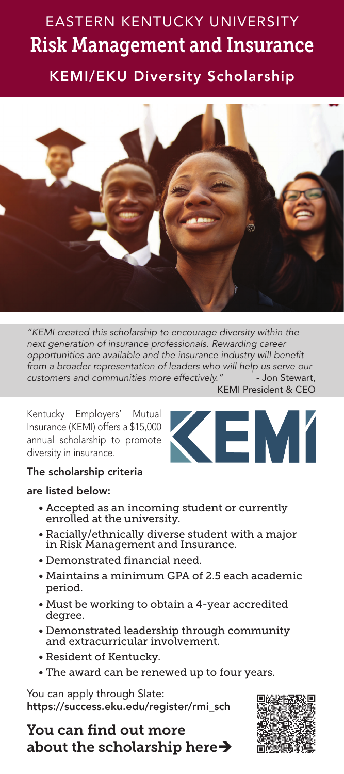## EASTERN KENTUCKY UNIVERSITY Risk Management and Insurance

KEMI/EKU Diversity Scholarship



*"KEMI created this scholarship to encourage diversity within the next generation of insurance professionals. Rewarding career opportunities are available and the insurance industry will benefit from a broader representation of leaders who will help us serve our customers and communities more effectively."* - Jon Stewart, KEMI President & CEO

Kentucky Employers' Mutual Insurance (KEMI) offers a \$15,000 annual scholarship to promote diversity in insurance.



## The scholarship criteria

## are listed below:

- Accepted as an incoming student or currently enrolled at the university.
- Racially/ethnically diverse student with a major in Risk Management and Insurance.
- Demonstrated financial need.
- Maintains a minimum GPA of 2.5 each academic period.
- Must be working to obtain a 4-year accredited degree.
- Demonstrated leadership through community and extracurricular involvement.
- Resident of Kentucky.
- The award can be renewed up to four years.

You can apply through Slate: https://success.eku.edu/register/rmi\_sch

You can find out more about the scholarship here $\rightarrow$